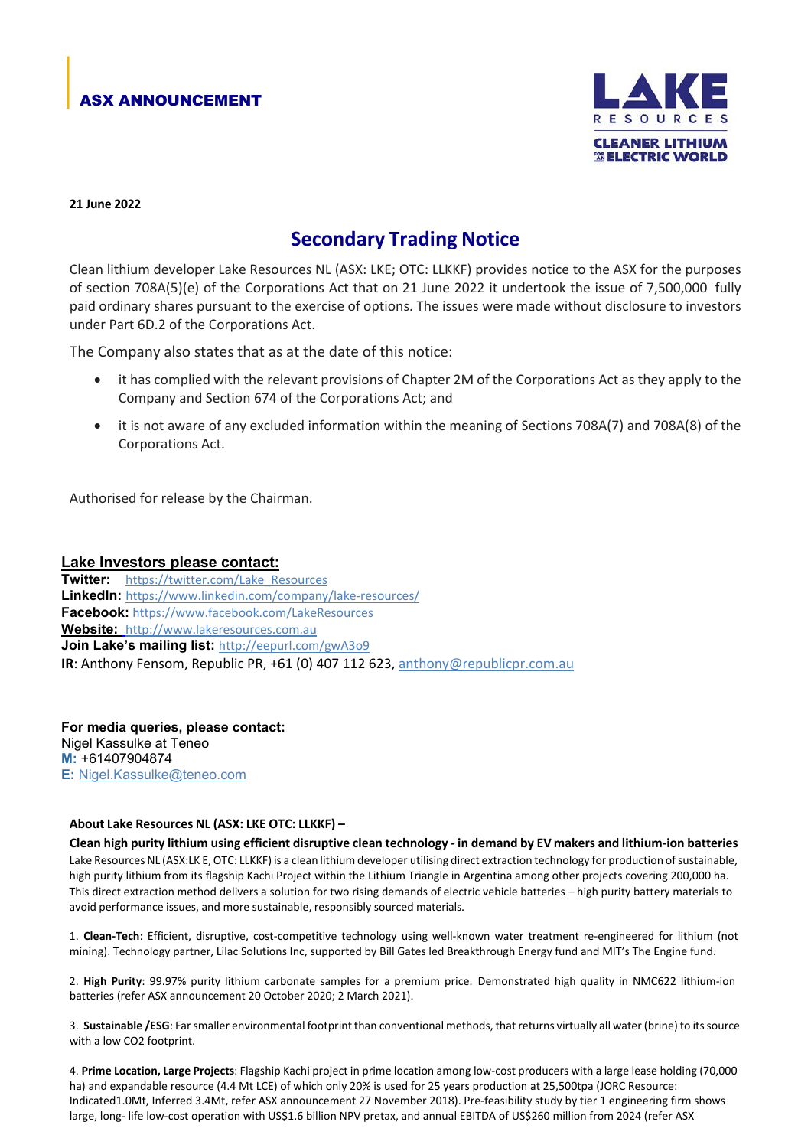## ASX ANNOUNCEMENT



#### **21 June 2022**

# **Secondary Trading Notice**

Clean lithium developer Lake Resources NL (ASX: LKE; OTC: LLKKF) provides notice to the ASX for the purposes of section 708A(5)(e) of the Corporations Act that on 21 June 2022 it undertook the issue of 7,500,000 fully paid ordinary shares pursuant to the exercise of options. The issues were made without disclosure to investors under Part 6D.2 of the Corporations Act.

The Company also states that as at the date of this notice:

- it has complied with the relevant provisions of Chapter 2M of the Corporations Act as they apply to the Company and Section 674 of the Corporations Act; and
- it is not aware of any excluded information within the meaning of Sections 708A(7) and 708A(8) of the Corporations Act.

Authorised for release by the Chairman.

### **Lake Investors please contact:**

**Twitter:** [https://twitter.com/Lake\\_Resources](https://twitter.com/Lake_Resources) **LinkedIn:** <https://www.linkedin.com/company/lake-resources/> **Facebook:** https://www.facebook.com/LakeResources **Website:** [http://www.lakeresources.com.au](http://www.lakeresources.com.au/) **Join Lake's mailing list:** <http://eepurl.com/gwA3o9> **IR**: Anthony Fensom, Republic PR, +61 (0) 407 112 623, [anthony@republicpr.com.au](mailto:anthony@republicpr.com.au)

**For media queries, please contact:** Nigel Kassulke at Teneo **M:** +61407904874 **E:** [Nigel.Kassulke@teneo.com](mailto:Nigel.Kassulke@teneo.com)

### **About Lake Resources NL (ASX: LKE OTC: LLKKF) –**

Clean high purity lithium using efficient disruptive clean technology - in demand by EV makers and lithium-ion batteries Lake Resources NL (ASX:LK E, OTC: LLKKF) is a clean lithium developer utilising direct extraction technology for production ofsustainable, high purity lithium from its flagship Kachi Project within the Lithium Triangle in Argentina among other projects covering 200,000 ha. This direct extraction method delivers a solution for two rising demands of electric vehicle batteries – high purity battery materials to avoid performance issues, and more sustainable, responsibly sourced materials.

1. **Clean-Tech**: Efficient, disruptive, cost-competitive technology using well-known water treatment re-engineered for lithium (not mining). Technology partner, Lilac Solutions Inc, supported by Bill Gates led Breakthrough Energy fund and MIT's The Engine fund.

2. **High Purity**: 99.97% purity lithium carbonate samples for a premium price. Demonstrated high quality in NMC622 lithium-ion batteries (refer ASX announcement 20 October 2020; 2 March 2021).

3. **Sustainable /ESG**: Farsmaller environmental footprint than conventional methods, that returns virtually all water (brine) to itssource with a low CO2 footprint.

4. **Prime Location, Large Projects**: Flagship Kachi project in prime location among low-cost producers with a large lease holding (70,000 ha) and expandable resource (4.4 Mt LCE) of which only 20% is used for 25 years production at 25,500tpa (JORC Resource: Indicated1.0Mt, Inferred 3.4Mt, refer ASX announcement 27 November 2018). Pre-feasibility study by tier 1 engineering firm shows large, long- life low-cost operation with US\$1.6 billion NPV pretax, and annual EBITDA of US\$260 million from 2024 (refer ASX